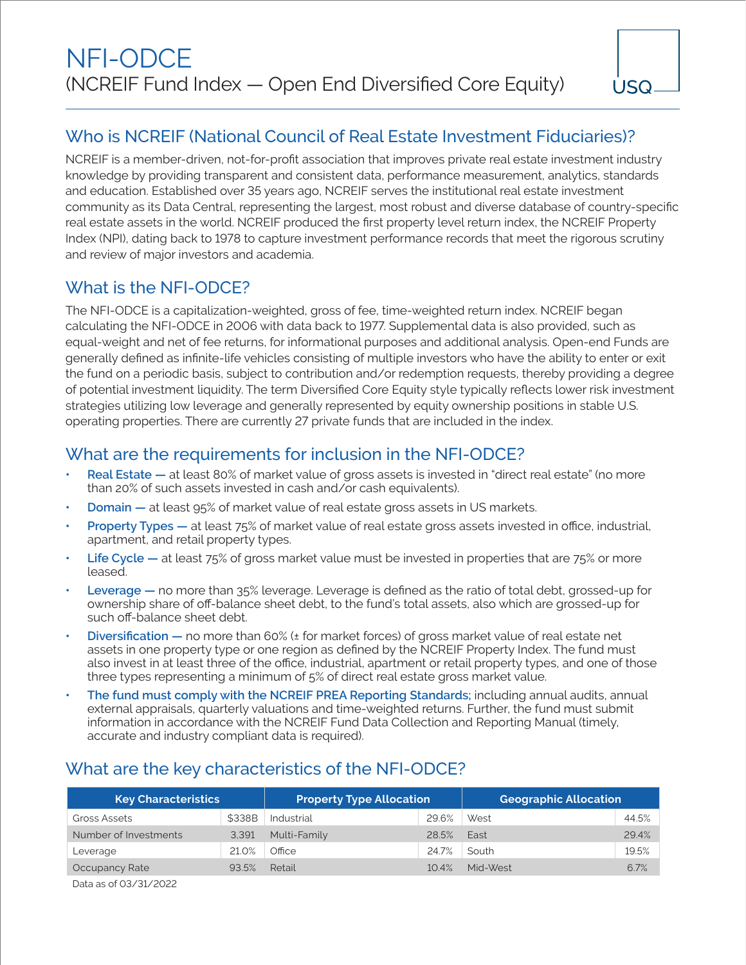# Who is NCREIF (National Council of Real Estate Investment Fiduciaries)?

NCREIF is a member-driven, not-for-profit association that improves private real estate investment industry knowledge by providing transparent and consistent data, performance measurement, analytics, standards and education. Established over 35 years ago, NCREIF serves the institutional real estate investment community as its Data Central, representing the largest, most robust and diverse database of country-specific real estate assets in the world. NCREIF produced the first property level return index, the NCREIF Property Index (NPI), dating back to 1978 to capture investment performance records that meet the rigorous scrutiny and review of major investors and academia.

## What is the NFI-ODCE?

The NFI-ODCE is a capitalization-weighted, gross of fee, time-weighted return index. NCREIF began calculating the NFI-ODCE in 2006 with data back to 1977. Supplemental data is also provided, such as equal-weight and net of fee returns, for informational purposes and additional analysis. Open-end Funds are generally defined as infinite-life vehicles consisting of multiple investors who have the ability to enter or exit the fund on a periodic basis, subject to contribution and/or redemption requests, thereby providing a degree of potential investment liquidity. The term Diversified Core Equity style typically reflects lower risk investment strategies utilizing low leverage and generally represented by equity ownership positions in stable U.S. operating properties. There are currently 27 private funds that are included in the index.

## What are the requirements for inclusion in the NFI-ODCE?

- **• Real Estate —** at least 80% of market value of gross assets is invested in "direct real estate" (no more than 20% of such assets invested in cash and/or cash equivalents).
- **• Domain —** at least 95% of market value of real estate gross assets in US markets.
- **• Property Types —** at least 75% of market value of real estate gross assets invested in office, industrial, apartment, and retail property types.
- **• Life Cycle —** at least 75% of gross market value must be invested in properties that are 75% or more leased.
- **• Leverage —** no more than 35% leverage. Leverage is defined as the ratio of total debt, grossed-up for ownership share of off-balance sheet debt, to the fund's total assets, also which are grossed-up for such off-balance sheet debt.
- **• Diversification —** no more than 60% (± for market forces) of gross market value of real estate net assets in one property type or one region as defined by the NCREIF Property Index. The fund must also invest in at least three of the office, industrial, apartment or retail property types, and one of those three types representing a minimum of 5% of direct real estate gross market value.
- **• The fund must comply with the NCREIF PREA Reporting Standards;** including annual audits, annual external appraisals, quarterly valuations and time-weighted returns. Further, the fund must submit information in accordance with the NCREIF Fund Data Collection and Reporting Manual (timely, accurate and industry compliant data is required).

## What are the key characteristics of the NFI-ODCE?

| <b>Key Characteristics</b> |        | <b>Property Type Allocation</b> |       | <b>Geographic Allocation</b> |       |
|----------------------------|--------|---------------------------------|-------|------------------------------|-------|
| Gross Assets               | \$338B | Industrial                      | 29.6% | West                         | 44.5% |
| Number of Investments      | 3,391  | Multi-Family                    | 28.5% | East                         | 29.4% |
| Leverage                   | 21.0%  | Office                          | 24.7% | South                        | 19.5% |
| Occupancy Rate             | 93.5%  | Retail                          | 10.4% | Mid-West                     | 6.7%  |
|                            |        |                                 |       |                              |       |

Data as of 03/31/2022